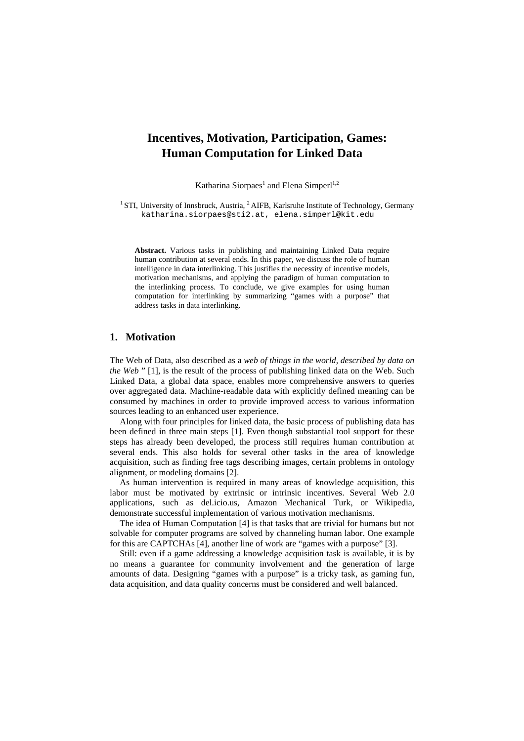# **Incentives, Motivation, Participation, Games: Human Computation for Linked Data**

Katharina Siorpaes<sup>1</sup> and Elena Simperl<sup>1,2</sup>

<sup>1</sup> STI, University of Innsbruck, Austria,  ${}^{2}$  AIFB, Karlsruhe Institute of Technology, Germany katharina.siorpaes@sti2.at, elena.simperl@kit.edu

**Abstract.** Various tasks in publishing and maintaining Linked Data require human contribution at several ends. In this paper, we discuss the role of human intelligence in data interlinking. This justifies the necessity of incentive models, motivation mechanisms, and applying the paradigm of human computation to the interlinking process. To conclude, we give examples for using human computation for interlinking by summarizing "games with a purpose" that address tasks in data interlinking.

# **1. Motivation**

The Web of Data, also described as a *web of things in the world, described by data on the Web* " [1], is the result of the process of publishing linked data on the Web. Such Linked Data, a global data space, enables more comprehensive answers to queries over aggregated data. Machine-readable data with explicitly defined meaning can be consumed by machines in order to provide improved access to various information sources leading to an enhanced user experience.

Along with four principles for linked data, the basic process of publishing data has been defined in three main steps [1]. Even though substantial tool support for these steps has already been developed, the process still requires human contribution at several ends. This also holds for several other tasks in the area of knowledge acquisition, such as finding free tags describing images, certain problems in ontology alignment, or modeling domains [2].

As human intervention is required in many areas of knowledge acquisition, this labor must be motivated by extrinsic or intrinsic incentives. Several Web 2.0 applications, such as del.icio.us, Amazon Mechanical Turk, or Wikipedia, demonstrate successful implementation of various motivation mechanisms.

The idea of Human Computation [4] is that tasks that are trivial for humans but not solvable for computer programs are solved by channeling human labor. One example for this are CAPTCHAs [4], another line of work are "games with a purpose" [3].

Still: even if a game addressing a knowledge acquisition task is available, it is by no means a guarantee for community involvement and the generation of large amounts of data. Designing "games with a purpose" is a tricky task, as gaming fun, data acquisition, and data quality concerns must be considered and well balanced.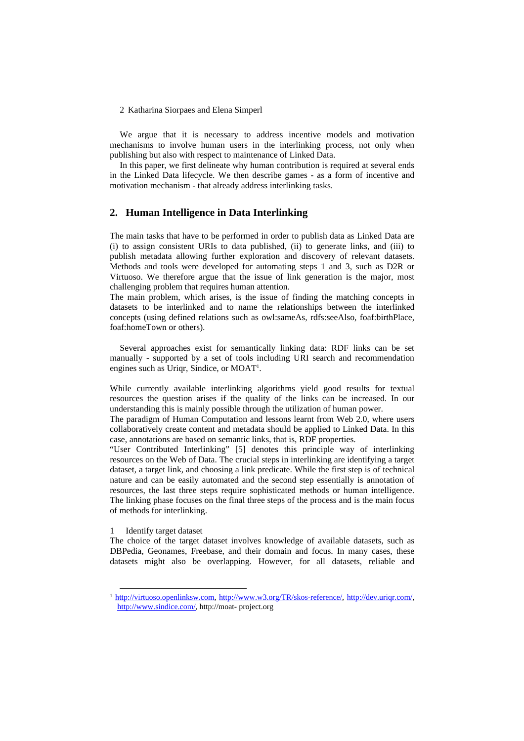2 Katharina Siorpaes and Elena Simperl

We argue that it is necessary to address incentive models and motivation mechanisms to involve human users in the interlinking process, not only when publishing but also with respect to maintenance of Linked Data.

In this paper, we first delineate why human contribution is required at several ends in the Linked Data lifecycle. We then describe games - as a form of incentive and motivation mechanism - that already address interlinking tasks.

# **2. Human Intelligence in Data Interlinking**

The main tasks that have to be performed in order to publish data as Linked Data are (i) to assign consistent URIs to data published, (ii) to generate links, and (iii) to publish metadata allowing further exploration and discovery of relevant datasets. Methods and tools were developed for automating steps 1 and 3, such as D2R or Virtuoso. We therefore argue that the issue of link generation is the major, most challenging problem that requires human attention.

The main problem, which arises, is the issue of finding the matching concepts in datasets to be interlinked and to name the relationships between the interlinked concepts (using defined relations such as owl:sameAs, rdfs:seeAlso, foaf:birthPlace, foaf:homeTown or others).

Several approaches exist for semantically linking data: RDF links can be set manually - supported by a set of tools including URI search and recommendation engines such as Uriqr, Sindice, or MOAT<sup>1</sup>.

While currently available interlinking algorithms yield good results for textual resources the question arises if the quality of the links can be increased. In our understanding this is mainly possible through the utilization of human power.

The paradigm of Human Computation and lessons learnt from Web 2.0, where users collaboratively create content and metadata should be applied to Linked Data. In this case, annotations are based on semantic links, that is, RDF properties.

"User Contributed Interlinking" [5] denotes this principle way of interlinking resources on the Web of Data. The crucial steps in interlinking are identifying a target dataset, a target link, and choosing a link predicate. While the first step is of technical nature and can be easily automated and the second step essentially is annotation of resources, the last three steps require sophisticated methods or human intelligence. The linking phase focuses on the final three steps of the process and is the main focus of methods for interlinking.

#### 1 Identify target dataset

The choice of the target dataset involves knowledge of available datasets, such as DBPedia, Geonames, Freebase, and their domain and focus. In many cases, these datasets might also be overlapping. However, for all datasets, reliable and

<sup>&</sup>lt;sup>1</sup> http://virtuoso.openlinksw.com, http://www.w3.org/TR/skos-reference/, http://dev.urigr.com/, http://www.sindice.com/, http://moat- project.org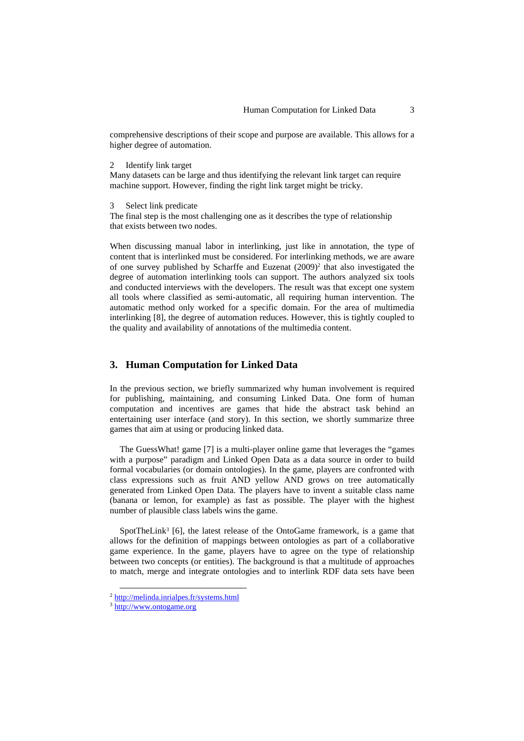comprehensive descriptions of their scope and purpose are available. This allows for a higher degree of automation.

2 Identify link target

Many datasets can be large and thus identifying the relevant link target can require machine support. However, finding the right link target might be tricky.

3 Select link predicate

The final step is the most challenging one as it describes the type of relationship that exists between two nodes.

When discussing manual labor in interlinking, just like in annotation, the type of content that is interlinked must be considered. For interlinking methods, we are aware of one survey published by Scharffe and Euzenat (2009)<sup>2</sup> that also investigated the degree of automation interlinking tools can support. The authors analyzed six tools and conducted interviews with the developers. The result was that except one system all tools where classified as semi-automatic, all requiring human intervention. The automatic method only worked for a specific domain. For the area of multimedia interlinking [8], the degree of automation reduces. However, this is tightly coupled to the quality and availability of annotations of the multimedia content.

## **3. Human Computation for Linked Data**

In the previous section, we briefly summarized why human involvement is required for publishing, maintaining, and consuming Linked Data. One form of human computation and incentives are games that hide the abstract task behind an entertaining user interface (and story). In this section, we shortly summarize three games that aim at using or producing linked data.

The GuessWhat! game [7] is a multi-player online game that leverages the "games with a purpose" paradigm and Linked Open Data as a data source in order to build formal vocabularies (or domain ontologies). In the game, players are confronted with class expressions such as fruit AND yellow AND grows on tree automatically generated from Linked Open Data. The players have to invent a suitable class name (banana or lemon, for example) as fast as possible. The player with the highest number of plausible class labels wins the game.

SpotTheLink<sup>3</sup> [6], the latest release of the OntoGame framework, is a game that allows for the definition of mappings between ontologies as part of a collaborative game experience. In the game, players have to agree on the type of relationship between two concepts (or entities). The background is that a multitude of approaches to match, merge and integrate ontologies and to interlink RDF data sets have been

 <sup>2</sup> http://melinda.inrialpes.fr/systems.html

<sup>3</sup> http://www.ontogame.org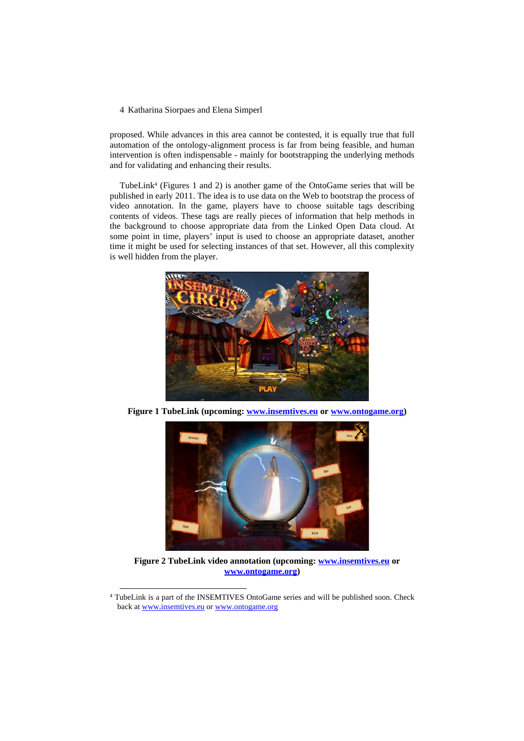### 4 Katharina Siorpaes and Elena Simperl

proposed. While advances in this area cannot be contested, it is equally true that full automation of the ontology-alignment process is far from being feasible, and human intervention is often indispensable - mainly for bootstrapping the underlying methods and for validating and enhancing their results.

TubeLink4 (Figures 1 and 2) is another game of the OntoGame series that will be published in early 2011. The idea is to use data on the Web to bootstrap the process of video annotation. In the game, players have to choose suitable tags describing contents of videos. These tags are really pieces of information that help methods in the background to choose appropriate data from the Linked Open Data cloud. At some point in time, players' input is used to choose an appropriate dataset, another time it might be used for selecting instances of that set. However, all this complexity is well hidden from the player.



**Figure 1 TubeLink (upcoming: www.insemtives.eu or www.ontogame.org)**



**Figure 2 TubeLink video annotation (upcoming: www.insemtives.eu or www.ontogame.org)**

 <sup>4</sup> TubeLink is a part of the INSEMTIVES OntoGame series and will be published soon. Check back at www.insemtives.eu or www.ontogame.org